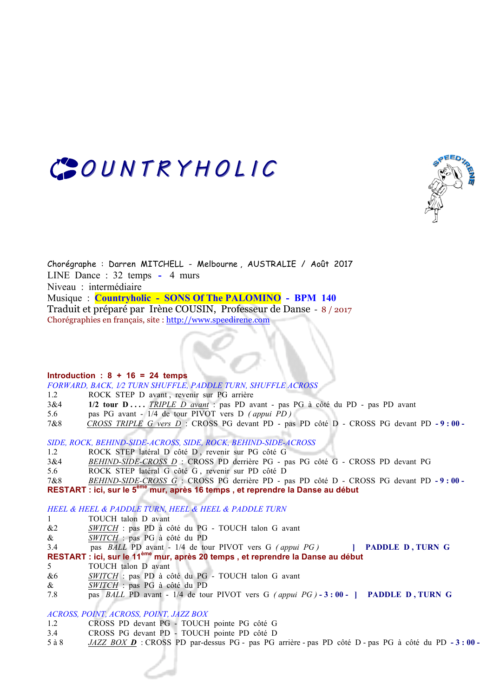



Chorégraphe : Darren MITCHELL - Melbourne , AUSTRALIE / Août 2017 LINE Dance : 32 temps **-** 4 murs Niveau : intermédiaire Musique : **Countryholic - SONS Of The PALOMINO - BPM 140** Traduit et préparé par Irène COUSIN, Professeur de Danse - 8 / 2017 Chorégraphies en français, site : http://www.speedirene.com

# **Introduction : 8 + 16 = 24 temps**

*FORWARD, BACK, 1⁄2 TURN SHUFFLE, PADDLE TURN, SHUFFLE ACROSS*

- 1.2 ROCK STEP D avant , revenir sur PG arrière
- 3&4 **1/2 tour D ....** *TRIPLE D avant* : pas PD avant pas PG à côté du PD pas PD avant
- 5.6 pas PG avant 1/4 de tour PIVOT vers D *( appui PD )*
- 7&8 *CROSS TRIPLE G vers D* :CROSS PG devant PD pas PD côté D CROSS PG devant PD **- 9 : 00**

*SIDE, ROCK, BEHIND-SIDE-ACROSS, SIDE, ROCK, BEHIND-SIDE-ACROSS*

- 1.2 ROCK STEP latéral D côté D , revenir sur PG côté G
- 3&4 *BEHIND-SIDE-CROSS D* : CROSS PD derrière PG pas PG côté G CROSS PD devant PG
- 5.6 ROCK STEP latéral G côté G , revenir sur PD côté D

7&8 *BEHIND-SIDE-CROSS G* :CROSS PG derrière PD - pas PD côté D - CROSS PG devant PD **- 9 : 00 - RESTART : ici, sur le 5ème mur, après 16 temps , et reprendre la Danse au début**

*HEEL & HEEL & PADDLE TURN, HEEL & HEEL & PADDLE TURN*

- 1 TOUCH talon D avant
- &2 *SWITCH* : pas PD à côté du PG TOUCH talon G avant
- & *SWITCH* : pas PG à côté du PD
- 3.4 pas *BALL* PD avant 1/4 de tour PIVOT vers G *( appui PG )* **] PADDLE D , TURN G**

**RESTART : ici, sur le 11ème mur, après 20 temps , et reprendre la Danse au début**

- 5 TOUCH talon D avant
- &6 *SWITCH* : pas PD à côté du PG TOUCH talon G avant
- & *SWITCH* : pas PG à côté du PD
- 7.8 pas *BALL* PD avant 1/4 de tour PIVOT vers G *( appui PG )* **- 3 : 00 ] PADDLE D , TURN G**

## *ACROSS, POINT, ACROSS, POINT, JAZZ BOX*

- 1.2 CROSS PD devant PG TOUCH pointe PG côté G
- 3.4 CROSS PG devant PD TOUCH pointe PD côté D
- 5 à 8 *JAZZ BOX D* : CROSS PD par-dessus PG pas PG arrière pas PD côté D pas PG à côté du PD **- 3 : 00**